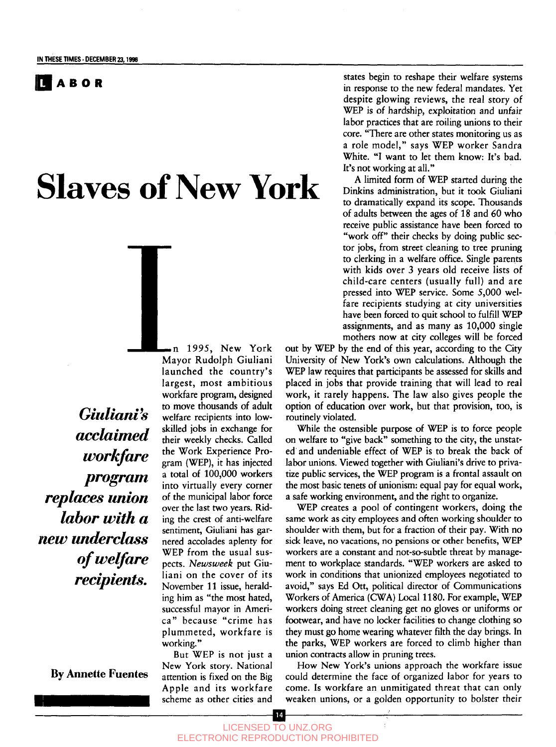

# Slaves of New York

*Giulianfs acclaimed workfare program replaces union labor with a new underclass of welfare recipients.*

**By Annette Fuentes**

n *1995,* New York Mayor Rudolph Giuliani launched the country's largest, most ambitious workfare program, designed to move thousands of adult welfare recipients into lowskilled jobs in exchange for their weekly checks. Called the Work Experience Program (WEP), it has injected a total of 100,000 workers into virtually every corner of the municipal labor force over the last two years. Riding the crest of anti-welfare sentiment, Giuliani has garnered accolades aplenty for WEP from the usual suspects. *Newsweek* put Giuliani on the cover of its November 11 issue, heralding him as "the most hated, successful mayor in America" because "crime has plummeted, workfare is working."

But WEP is not just a New York story. National attention is fixed on the Big Apple and its workfare scheme as other cities and

states begin to reshape their welfare systems in response to the new federal mandates. Yet despite glowing reviews, the real story of WEP is of hardship, exploitation and unfair labor practices that are roiling unions to their core. "There are other states monitoring us as a role model," says WEP worker Sandra White. "I want to let them know: It's bad. It's not working at all."

A limited form of WEP started during the Dinkins administration, but it took Giuliani to dramatically expand its scope. Thousands of adults between the ages of 18 and 60 who receive public assistance have been forced to "work off" their checks by doing public sector jobs, from street cleaning to tree pruning to clerking in a welfare office. Single parents with kids over 3 years old receive lists of child-care centers (usually full) and are pressed into WEP service. Some 5,000 welfare recipients studying at city universities have been forced to quit school to fulfill WEP assignments, and as many as 10,000 single mothers now at city colleges will be forced

out by WEP by the end of this year, according to the City University of New York's own calculations. Although the WEP law requires that participants be assessed for skills and placed in jobs that provide training that will lead to real work, it rarely happens. The law also gives people the option of education over work, but that provision, too, is routinely violated.

While the ostensible purpose of WEP is to force people on welfare to "give back" something to the city, the unstated and undeniable effect of WEP is to break the back of labor unions. Viewed together with Giuliani's drive to privatize public services, the WEP program is a frontal assault on the most basic tenets of unionism: equal pay for equal work, a safe working environment, and the right to organize.

WEP creates a pool of contingent workers, doing the same work as city employees and often working shoulder to shoulder with them, but for a fraction of their pay. With no sick leave, no vacations, no pensions or other benefits, WEP workers are a constant and not-so-subtle threat by management to workplace standards. "WEP workers are asked to work in conditions that unionized employees negotiated to avoid," says Ed Ott, political director of Communications Workers of America (CWA) Local 1180. For example, WEP workers doing street cleaning get no gloves or uniforms or footwear, and have no locker facilities to change clothing so they must go home wearing whatever filth the day brings. In the parks, WEP workers are forced to climb higher than union contracts allow in pruning trees.

How New York's unions approach the workfare issue could determine the face of organized labor for years to come. Is workfare an unmitigated threat that can only weaken unions, or a golden opportunity to bolster their

14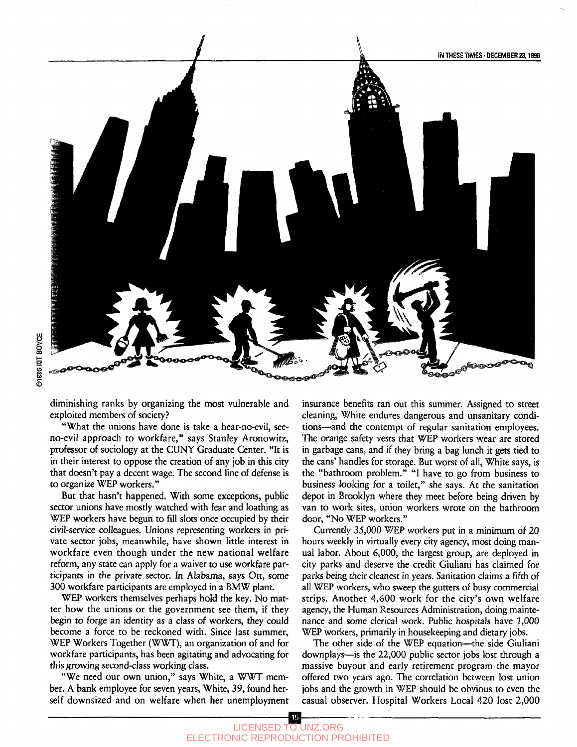#### IN THESE TIMES • **DECEMBER 23,1998**



diminishing ranks by organizing the most vulnerable and exploited members of society?

"What the unions have done is take a hear-no-evil, seeno-evil approach to workfare," says Stanley Aronowitz, professor of sociology at the CUNY Graduate Center. "It is in their interest to oppose the creation of any job in this city that doesn't pay a decent wage. The second line of defense is to organize WEP workers."

But that hasn't happened. With some exceptions, public sector unions have mostly watched with fear and loathing as WEP workers have begun to fill slots once occupied by their civil-service colleagues. Unions representing workers in private sector jobs, meanwhile, have shown little interest in workfare even though under the new national welfare reform, any state can apply for a waiver to use workfare participants in the private sector. In Alabama, says Ott, some 300 workfare participants are employed in a BMW plant.

WEP workers themselves perhaps hold the key. No matter how the unions or the government see them, if they begin to forge an identity as a class of workers, they could become a force to be reckoned with. Since last summer, WEP Workers Together (WWT), an organization of and for workfare participants, has been agitating and advocating for this growing second-class working class.

"We need our own union," says White, a WWT member. A bank employee for seven years, White, 39, found herself downsized and on welfare when her unemployment insurance benefits ran out this summer. Assigned to street cleaning, White endures dangerous and unsanitary conditions—and the contempt of regular sanitation employees. The orange safety vests that WEP workers wear are stored in garbage cans, and if they bring a bag lunch it gets tied to the cans' handles for storage. But worst of all, White says, is the "bathroom problem." "I have to go from business to business looking for a toilet," she says. At the sanitation depot in Brooklyn where they meet before being driven by van to work sites, union workers wrote on the bathroom door, "No WEP workers."

Currently 35,000 WEP workers put in a minimum of 20 hours weekly in virtually every city agency, most doing manual labor. About 6,000, the largest group, are deployed in city parks and deserve the credit Giuliani has claimed for parks being their cleanest in years. Sanitation claims a fifth of all WEP workers, who sweep the gutters of busy commercial strips. Another 4,600 work for the city's own welfare agency, the Human Resources Administration, doing maintenance and some clerical work. Public hospitals have 1,000 WEP workers, primarily in housekeeping and dietary jobs.

The other side of the WEP equation—the side Giuliani downplays—is the 22,000 public sector jobs lost through a massive buyout and early retirement program the mayor offered two years ago. The correlation between lost union jobs and the growth in WEP should be obvious to even the casual observer. Hospital Workers Local 420 lost 2,000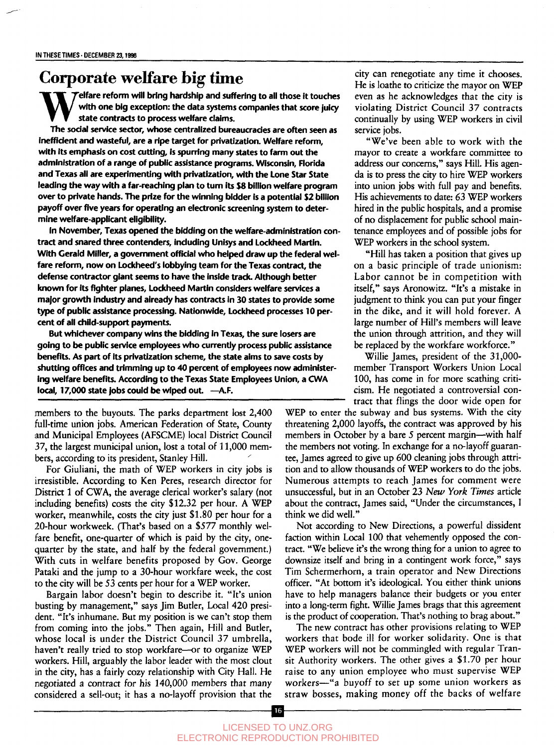#### **Corporate welfare big time**

**W Felfare reform will bring hardship and suffering to all those it touches with one big exception: the data systems companies that score juicy state contracts to process welfare claims.**

**The sodal service sector, whose centralized bureaucracies are often seen as inefficient and wasteful, are a ripe target for privatization. Welfare reform, with its emphasis on cost cutting, is spurring many states to farm out the administration of a range of public assistance programs. Wisconsin, Florida and Texas all are experimenting with privatization, with the Lone Star State leading the way with a far-reaching plan to turn its \$8 billion welfare program over to private hands. The prize for the winning bidder is a potential \$2 billion payoff over five years for operating an electronic screening system to determine welfare-applicant eligibility.**

**In November, Texas opened the bidding on the welfare-administration contract and snared three contenders, including Unisys and Lockheed Martin. With Gerald Miller, a government official who helped draw up the federal welfare reform, now on Lockheed's lobbying team for the Texas contract, the defense contractor giant seems to have the inside track. Although better known for its fighter planes, Lockheed Martin considers welfare services a major growth industry and already has contracts in 30 states to provide some type of public assistance processing. Nationwide, Lockheed processes 10 percent of all child-support payments.**

**But whichever company wins the bidding in Texas, the sure losers are going to be public service employees who currently process public assistance benefits. As part of its privatization scheme, the state aims to save costs by shutting offices and trimming up to 40 percent of employees now administering welfare benefits. According to the Texas State Employees Union, a CWA** local, 17,000 state jobs could be wiped out. - A.F.

members to the buyouts. The parks department lost 2,400 full-time union jobs. American Federation of State, County and Municipal Employees (AFSCME) local District Council 37, the largest municipal union, lost a total of 11,000 members, according to its president, Stanley Hill.

For Giuliani, the math of WEP workers in city jobs is irresistible. According to Ken Peres, research director for District 1 of CWA, the average clerical worker's salary (not including benefits) costs the city \$12.32 per hour. A WEP worker, meanwhile, costs the city just \$1.80 per hour for a 20-hour workweek. (That's based on a \$577 monthly welfare benefit, one-quarter of which is paid by the city, onequarter by the state, and half by the federal government.) With cuts in welfare benefits proposed by Gov. George Pataki and the jump to a 30-hour workfare week, the cost to the city will be 53 cents per hour for a WEP worker.

Bargain labor doesn't begin to describe it. "It's union busting by management," says Jim Butler, Local 420 president. "It's inhumane. But my position is we can't stop them from coming into the jobs." Then again, Hill and Butler, whose local is under the District Council 37 umbrella, haven't really tried to stop workfare—or to organize WEP workers. Hill, arguably the labor leader with the most clout in the city, has a fairly cozy relationship with City Hall. He negotiated a contract for his 140,000 members that many considered a sell-out; it has a no-layoff provision that the

city can renegotiate any time it chooses. He is loathe to criticize the mayor on WEP even as he acknowledges that the city is violating District Council 37 contracts continually by using WEP workers in civil service jobs.

"We've been able to work with the mayor to create a workfare committee to address our concerns," says Hill. His agenda is to press the city to hire WEP workers into union jobs with full pay and benefits. His achievements to date: *63* WEP workers hired in the public hospitals, and a promise of no displacement for public school maintenance employees and of possible jobs for WEP workers in the school system.

"Hill has taken a position that gives up on a basic principle of trade unionism: Labor cannot be in competition with itself," says Aronowitz. "It's a mistake in judgment to think you can put your finger in the dike, and it will hold forever. A large number of Hill's members will leave the union through attrition, and they will be replaced by the workfare workforce."

Willie James, president of the 31,000 member Transport Workers Union Local 100, has come in for more scathing criticism. He negotiated a controversial contract that flings the door wide open for

WEP to enter the subway and bus systems. With the city threatening 2,000 layoffs, the contract was approved by his members in October by a bare 5 percent margin—with half the members not voting. In exchange for a no-layoff guarantee, James agreed to give up 600 cleaning jobs through attrition and to allow thousands of WEP workers to do the jobs. Numerous attempts to reach James for comment were unsuccessful, but in an October 23 *New York Times* article about the contract, James said, "Under the circumstances, I think we did well."

Not according to New Directions, a powerful dissident faction within Local 100 that vehemently opposed the contract. "We believe it's the wrong thing for a union to agree to downsize itself and bring in a contingent work force," says Tim Schermerhorn, a train operator and New Directions officer. "At bottom it's ideological. You either think unions have to help managers balance their budgets or you enter into a long-term fight. Willie James brags that this agreement is the product of cooperation. That's nothing to brag about."

The new contract has other provisions relating to WEP workers that bode ill for worker solidarity. One is that WEP workers will not be commingled with regular Transit Authority workers. The other gives a \$1.70 per hour raise to any union employee who must supervise WEP workers—"a buyoff to set up some union workers as straw bosses, making money off the backs of welfare

16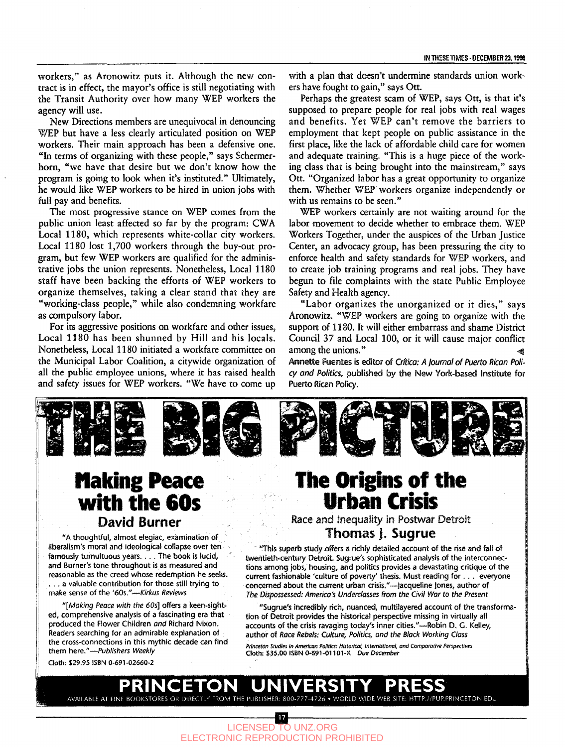workers," as Aronowitz puts it. Although the new contract is in effect, the mayor's office is still negotiating with the Transit Authority over how many WEP workers the agency will use.

New Directions members are unequivocal in denouncing WEP but have a less clearly articulated position on WEP workers. Their main approach has been a defensive one. "In terms of organizing with these people," says Schermerhorn, "we have that desire but we don't know how the program is going to look when it's instituted." Ultimately, he would like WEP workers to be hired in union jobs with full pay and benefits.

The most progressive stance on WEP comes from the public union least affected so far by the program: CWA Local 1180, which represents white-collar city workers. Local 1180 lost 1,700 workers through the buy-out program, but few WEP workers are qualified for the administrative jobs the union represents. Nonetheless, Local 1180 staff have been backing the efforts of WEP workers to organize themselves, taking a clear stand that they are "working-class people," while also condemning workfare as compulsory labor.

For its aggressive positions on workfare and other issues, Local 1180 has been shunned by Hill and his locals. Nonetheless, Local 1180 initiated a workfare committee on the Municipal Labor Coalition, a citywide organization of all the public employee unions, where it has raised health and safety issues for WEP workers. "We have to come up with a plan that doesn't undermine standards union workers have fought to gain," says Ott.

Perhaps the greatest scam of WEP, says Ott, is that it's supposed to prepare people for real jobs with real wages and benefits. Yet WEP can't remove the barriers to employment that kept people on public assistance in the first place, like the lack of affordable child care for women and adequate training. "This is a huge piece of the working class that is being brought into the mainstream," says Ott. "Organized labor has a great opportunity to organize them. Whether WEP workers organize independently or with us remains to be seen."

WEP workers certainly are not waiting around for the labor movement to decide whether to embrace them. WEP Workers Together, under the auspices of the Urban Justice Center, an advocacy group, has been pressuring the city to enforce health and safety standards for WEP workers, and to create job training programs and real jobs. They have begun to file complaints with the state Public Employee Safety and Health agency.

"Labor organizes the unorganized or it dies," says Aronowitz. "WEP workers are going to organize with the support of 1180. It will either embarrass and shame District Council 37 and Local 100, or it will cause major conflict among the unions." ^

**Annette** Fuentes is editor of *Crftica: A journal of Puerto Rican Policy and Politics,* published by the New York-based Institute for Puerto Rican Policy.



### **flaking Peace with the 60s** David Burner

"A thoughtful, almost elegiac, examination of liberalism's moral and ideological collapse over ten famously tumultuous years.... The book is lucid, and Burner's tone throughout is as measured and reasonable as the creed whose redemption he seeks. ... a valuable contribution for those still trying to make sense of the '60s."—*Kirkus Reviews*

*"[Making Peace with the 60s]* offers a keen-sighted, comprehensive analysis of a fascinating era that produced the Flower Children *and* Richard Nixon, Readers searching for an admirable explanation of the cross-connections in this mythic decade can find them here."—*Publishers Weekly*

## **The Origins of the Urban Crisis**

Race and inequality in Postwar Detroit Thomas **J. Sugrue**

"This superb study offers a richly detailed account of the rise and fall of twentieth-century Detroit. Sugrue's sophisticated analysis of the interconnections among jobs, housing, and politics provides a devastating critique of the current fashionable 'culture of poverty' thesis. Must reading for . . . everyone concerned about the current urban crisis."—)acqueline Jones, author of *The Dispossessed: America's Underclasses from the Civil War to the Present*

"Sugrue's incredibly rich, nuanced, multilayered account of the transformation of Detroit provides the historical perspective missing in virtually all accounts of the crisis ravaging today's inner cities."—Robin D. C. Kelley, author of Race *Rebels: Culture, Politics, and the Black Working Class*

*Princeton Studies in American Politics: Historical, International, and Comparative Perspectives* **Cloth: \$35.00 ISBN 0-691 -01101 -X** *Due December*

Cloth: \$29.95 ISBN 0-691-02660-2

#### NGETON UNIVER AVAILABLE AT FINE BOOKSTORES OR DIRECTLY FROM THE PUBLISHER: 800-777-4726 • WORLD WIDE WEB SITE: HTTP://PUP.PRINCETON.EDU

 $17<sub>1</sub>$ LICENSED TO UNZ.ORG ELECTRONIC REPRODUCTION PROHIBITED